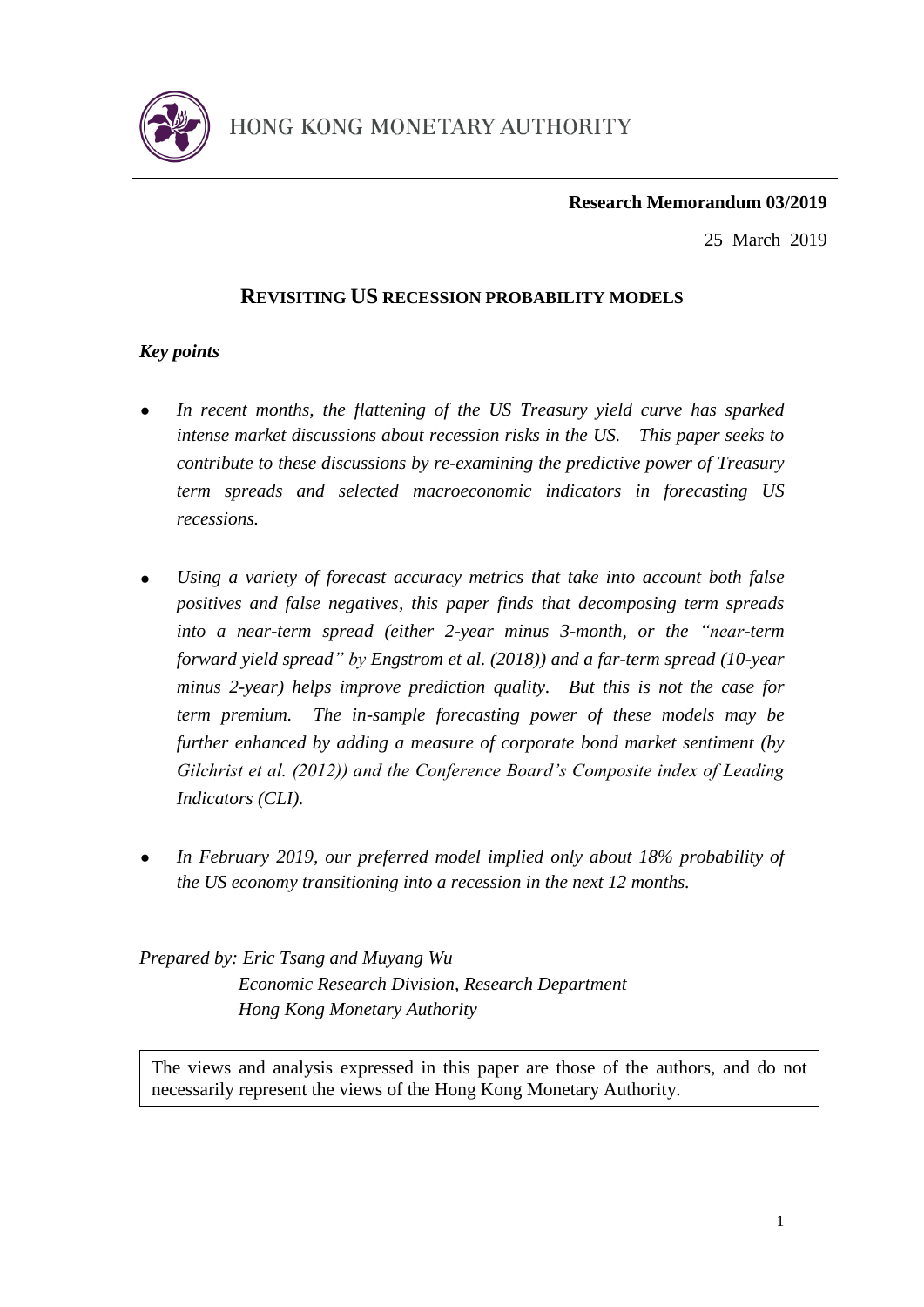

# **Research Memorandum 03/2019**

25 March 2019

# **REVISITING US RECESSION PROBABILITY MODELS**

# *Key points*

- *In recent months, the flattening of the US Treasury yield curve has sparked intense market discussions about recession risks in the US. This paper seeks to contribute to these discussions by re-examining the predictive power of Treasury term spreads and selected macroeconomic indicators in forecasting US recessions.*
- *Using a variety of forecast accuracy metrics that take into account both false positives and false negatives, this paper finds that decomposing term spreads into a near-term spread (either 2-year minus 3-month, or the "near-term forward yield spread" by Engstrom et al. (2018)) and a far-term spread (10-year minus 2-year) helps improve prediction quality. But this is not the case for term premium. The in-sample forecasting power of these models may be further enhanced by adding a measure of corporate bond market sentiment (by Gilchrist et al. (2012)) and the Conference Board's Composite index of Leading Indicators (CLI).*
- *In February 2019, our preferred model implied only about 18% probability of the US economy transitioning into a recession in the next 12 months.*

*Prepared by: Eric Tsang and Muyang Wu Economic Research Division, Research Department Hong Kong Monetary Authority*

necessarily represent the views of the Hong Kong Monetary Authority. The views and analysis expressed in this paper are those of the authors, and do not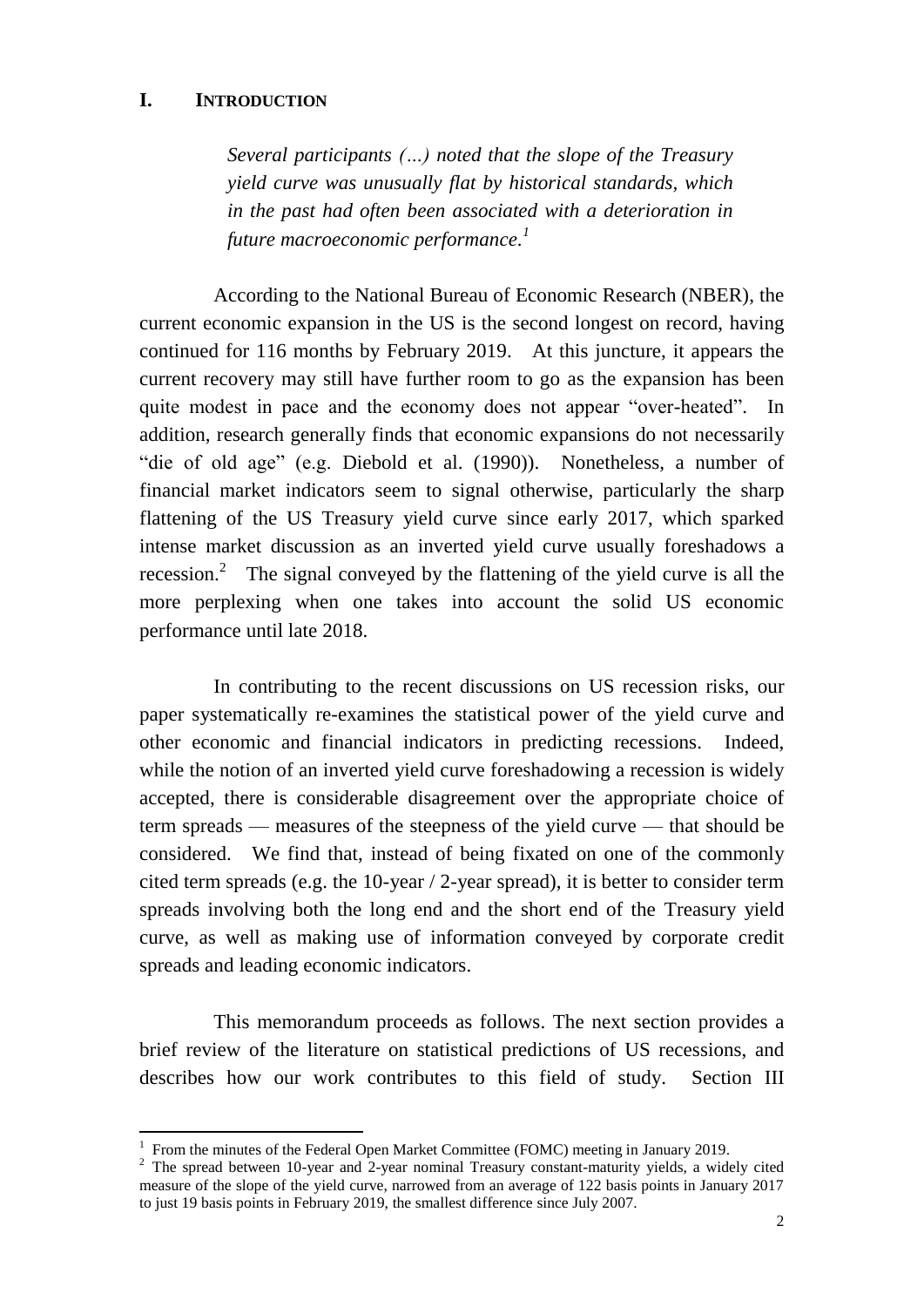# **I. INTRODUCTION**

 $\overline{a}$ 

*Several participants (…) noted that the slope of the Treasury yield curve was unusually flat by historical standards, which in the past had often been associated with a deterioration in future macroeconomic performance. 1*

According to the National Bureau of Economic Research (NBER), the current economic expansion in the US is the second longest on record, having continued for 116 months by February 2019. At this juncture, it appears the current recovery may still have further room to go as the expansion has been quite modest in pace and the economy does not appear "over-heated". In addition, research generally finds that economic expansions do not necessarily "die of old age" (e.g. Diebold et al. (1990)). Nonetheless, a number of financial market indicators seem to signal otherwise, particularly the sharp flattening of the US Treasury yield curve since early 2017, which sparked intense market discussion as an inverted yield curve usually foreshadows a recession.<sup>2</sup> The signal conveyed by the flattening of the yield curve is all the more perplexing when one takes into account the solid US economic performance until late 2018.

In contributing to the recent discussions on US recession risks, our paper systematically re-examines the statistical power of the yield curve and other economic and financial indicators in predicting recessions. Indeed, while the notion of an inverted yield curve foreshadowing a recession is widely accepted, there is considerable disagreement over the appropriate choice of term spreads — measures of the steepness of the yield curve — that should be considered. We find that, instead of being fixated on one of the commonly cited term spreads (e.g. the 10-year / 2-year spread), it is better to consider term spreads involving both the long end and the short end of the Treasury yield curve, as well as making use of information conveyed by corporate credit spreads and leading economic indicators.

This memorandum proceeds as follows. The next section provides a brief review of the literature on statistical predictions of US recessions, and describes how our work contributes to this field of study. Section III

<sup>&</sup>lt;sup>1</sup> From the minutes of the Federal Open Market Committee (FOMC) meeting in January 2019.

<sup>&</sup>lt;sup>2</sup> The spread between 10-year and 2-year nominal Treasury constant-maturity yields, a widely cited measure of the slope of the yield curve, narrowed from an average of 122 basis points in January 2017 to just 19 basis points in February 2019, the smallest difference since July 2007.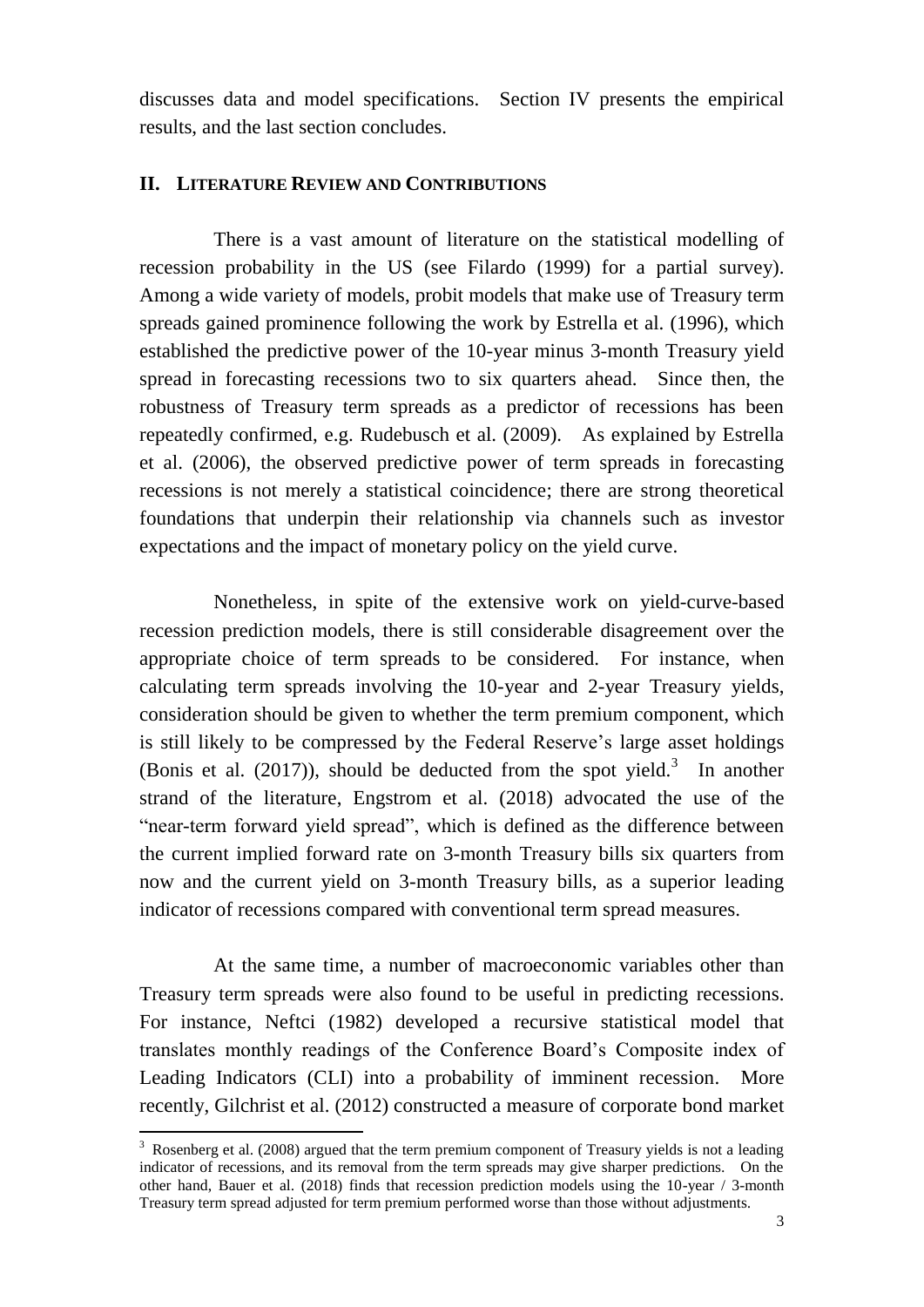discusses data and model specifications. Section IV presents the empirical results, and the last section concludes.

#### **II. LITERATURE REVIEW AND CONTRIBUTIONS**

There is a vast amount of literature on the statistical modelling of recession probability in the US (see Filardo (1999) for a partial survey). Among a wide variety of models, probit models that make use of Treasury term spreads gained prominence following the work by Estrella et al. (1996), which established the predictive power of the 10-year minus 3-month Treasury yield spread in forecasting recessions two to six quarters ahead. Since then, the robustness of Treasury term spreads as a predictor of recessions has been repeatedly confirmed, e.g. Rudebusch et al. (2009). As explained by Estrella et al. (2006), the observed predictive power of term spreads in forecasting recessions is not merely a statistical coincidence; there are strong theoretical foundations that underpin their relationship via channels such as investor expectations and the impact of monetary policy on the yield curve.

Nonetheless, in spite of the extensive work on yield-curve-based recession prediction models, there is still considerable disagreement over the appropriate choice of term spreads to be considered. For instance, when calculating term spreads involving the 10-year and 2-year Treasury yields, consideration should be given to whether the term premium component, which is still likely to be compressed by the Federal Reserve's large asset holdings (Bonis et al.  $(2017)$ ), should be deducted from the spot yield.<sup>3</sup> In another strand of the literature, Engstrom et al. (2018) advocated the use of the "near-term forward yield spread", which is defined as the difference between the current implied forward rate on 3-month Treasury bills six quarters from now and the current yield on 3-month Treasury bills, as a superior leading indicator of recessions compared with conventional term spread measures.

At the same time, a number of macroeconomic variables other than Treasury term spreads were also found to be useful in predicting recessions. For instance, Neftci (1982) developed a recursive statistical model that translates monthly readings of the Conference Board's Composite index of Leading Indicators (CLI) into a probability of imminent recession. More recently, Gilchrist et al. (2012) constructed a measure of corporate bond market

 $3$  Rosenberg et al. (2008) argued that the term premium component of Treasury yields is not a leading indicator of recessions, and its removal from the term spreads may give sharper predictions. On the other hand, Bauer et al. (2018) finds that recession prediction models using the 10-year / 3-month Treasury term spread adjusted for term premium performed worse than those without adjustments.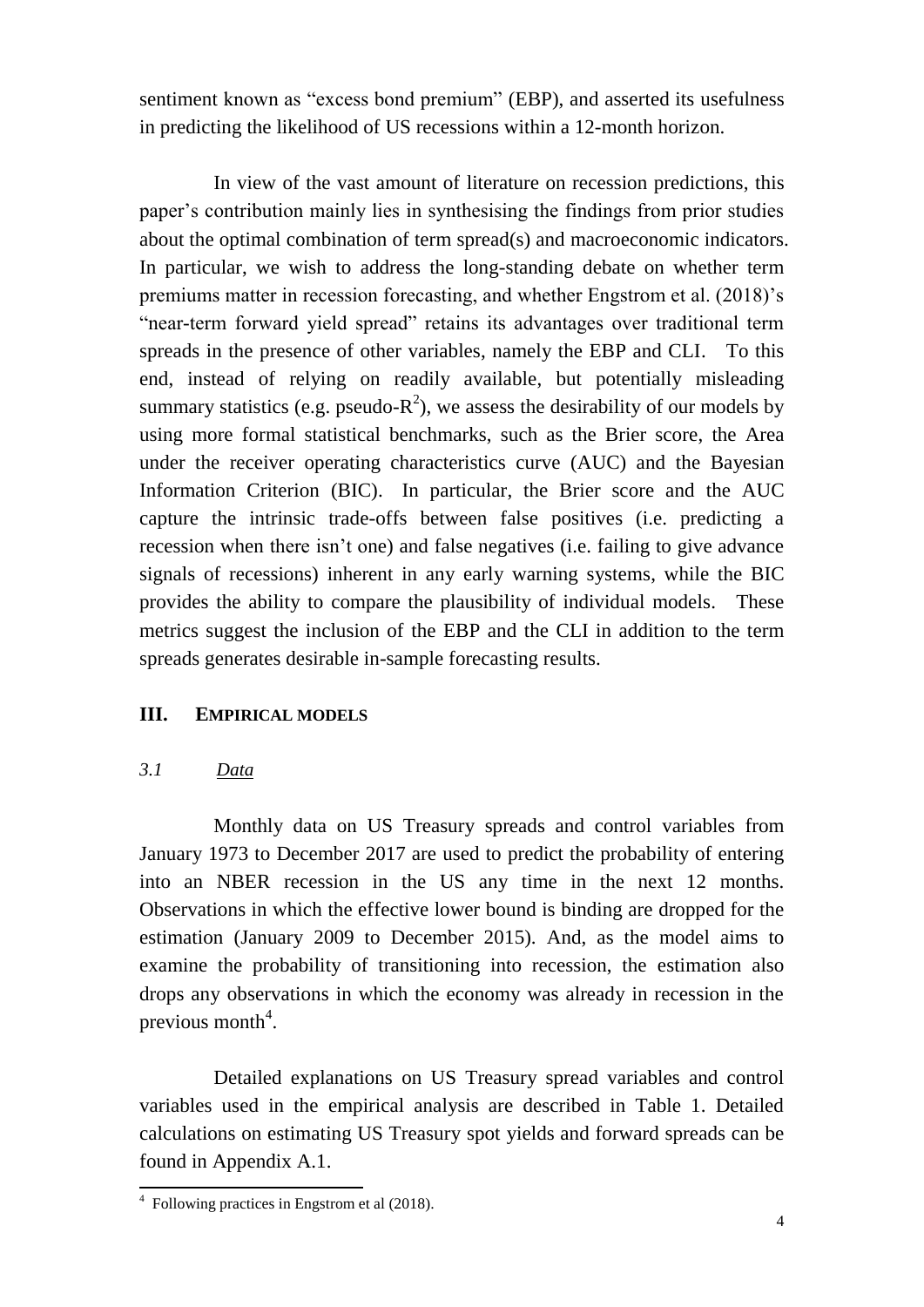sentiment known as "excess bond premium" (EBP), and asserted its usefulness in predicting the likelihood of US recessions within a 12-month horizon.

In view of the vast amount of literature on recession predictions, this paper's contribution mainly lies in synthesising the findings from prior studies about the optimal combination of term spread(s) and macroeconomic indicators. In particular, we wish to address the long-standing debate on whether term premiums matter in recession forecasting, and whether Engstrom et al. (2018)'s "near-term forward yield spread" retains its advantages over traditional term spreads in the presence of other variables, namely the EBP and CLI. To this end, instead of relying on readily available, but potentially misleading summary statistics (e.g. pseudo- $R^2$ ), we assess the desirability of our models by using more formal statistical benchmarks, such as the Brier score, the Area under the receiver operating characteristics curve (AUC) and the Bayesian Information Criterion (BIC). In particular, the Brier score and the AUC capture the intrinsic trade-offs between false positives (i.e. predicting a recession when there isn't one) and false negatives (i.e. failing to give advance signals of recessions) inherent in any early warning systems, while the BIC provides the ability to compare the plausibility of individual models. These metrics suggest the inclusion of the EBP and the CLI in addition to the term spreads generates desirable in-sample forecasting results.

# **III. EMPIRICAL MODELS**

# *3.1 Data*

Monthly data on US Treasury spreads and control variables from January 1973 to December 2017 are used to predict the probability of entering into an NBER recession in the US any time in the next 12 months. Observations in which the effective lower bound is binding are dropped for the estimation (January 2009 to December 2015). And, as the model aims to examine the probability of transitioning into recession, the estimation also drops any observations in which the economy was already in recession in the previous month<sup>4</sup>.

Detailed explanations on US Treasury spread variables and control variables used in the empirical analysis are described in Table 1. Detailed calculations on estimating US Treasury spot yields and forward spreads can be found in Appendix A.1.

 4 Following practices in Engstrom et al (2018).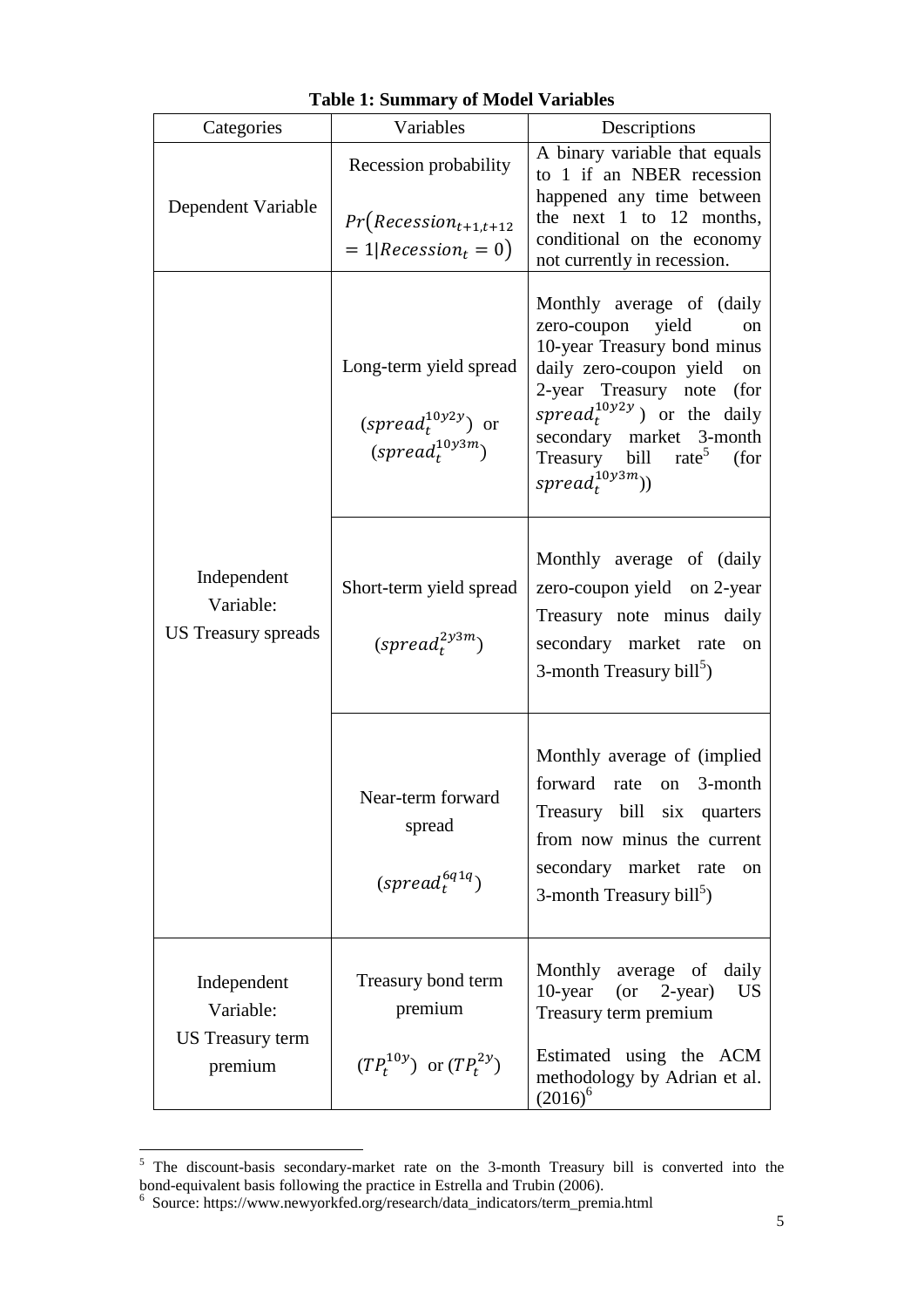| Categories                                              | Variables                                                                                                       | Descriptions                                                                                                                                                                                                                                                                                                 |  |  |  |
|---------------------------------------------------------|-----------------------------------------------------------------------------------------------------------------|--------------------------------------------------------------------------------------------------------------------------------------------------------------------------------------------------------------------------------------------------------------------------------------------------------------|--|--|--|
| Dependent Variable                                      | Recession probability                                                                                           | A binary variable that equals<br>to 1 if an NBER recession<br>happened any time between<br>the next $1$ to $12$ months,<br>conditional on the economy<br>not currently in recession.                                                                                                                         |  |  |  |
|                                                         | $Pr(Recession_{t+1,t+12})$<br>$= 1   Recession_t = 0)$                                                          |                                                                                                                                                                                                                                                                                                              |  |  |  |
| Independent<br>Variable:<br>US Treasury spreads         | Long-term yield spread<br>(spread <sub>t</sub> <sup>10y2y</sup> ) or<br>(spread <sub>t</sub> <sup>10y3m</sup> ) | Monthly average of (daily<br>zero-coupon<br>yield<br>on<br>10-year Treasury bond minus<br>daily zero-coupon yield on<br>2-year Treasury note<br>(for<br>spread <sub>t</sub> <sup>10y2y</sup> ) or the daily<br>secondary market 3-month<br>Treasury bill rate <sup>5</sup><br>(for<br>$spread^{10y3m}_{t}))$ |  |  |  |
|                                                         | Short-term yield spread<br>$(s\text{pred}_t^{2\text{y3m}})$                                                     | Monthly average of (daily<br>zero-coupon yield on 2-year<br>Treasury note minus daily<br>secondary market rate<br>on<br>3-month Treasury bill <sup>3</sup> )                                                                                                                                                 |  |  |  |
|                                                         | Near-term forward<br>spread<br>$(spred_t^{6q1q})$                                                               | Monthly average of (implied)<br>forward rate<br>3-month<br>on<br>Treasury bill six quarters<br>from now minus the current<br>secondary market rate<br>on<br>3-month Treasury bill <sup>5</sup> )                                                                                                             |  |  |  |
| Independent<br>Variable:<br>US Treasury term<br>premium | Treasury bond term<br>premium                                                                                   | Monthly<br>average of daily<br>$10$ -year<br>$(or 2-year)$<br><b>US</b><br>Treasury term premium                                                                                                                                                                                                             |  |  |  |
|                                                         | $(TP_t^{10y})$ or $(TP_t^{2y})$                                                                                 | Estimated using the ACM<br>methodology by Adrian et al.<br>$(2016)^6$                                                                                                                                                                                                                                        |  |  |  |

# <span id="page-4-0"></span>**Table 1: Summary of Model Variables**

<sup>&</sup>lt;sup>5</sup> The discount-basis secondary-market rate on the 3-month Treasury bill is converted into the bond-equivalent basis following the practice in Estrella and Trubin (2006).<br>
<sup>6</sup> Source: https://www.newyorkfed.org/research/data\_indicators/term\_premia.html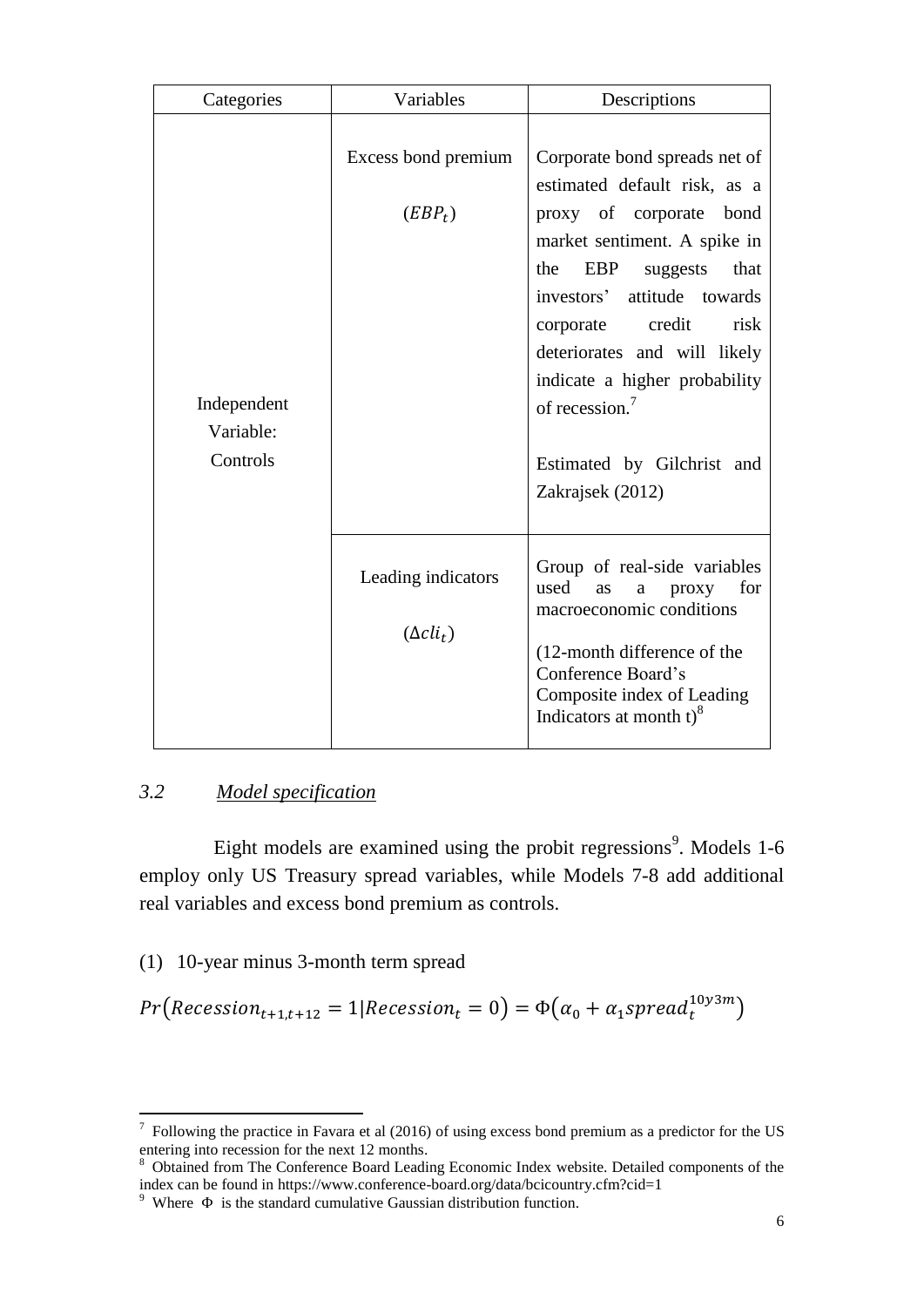| Categories                           | Variables                              | Descriptions                                                                                                                                                                                                                                                                                                                                                                 |  |  |  |
|--------------------------------------|----------------------------------------|------------------------------------------------------------------------------------------------------------------------------------------------------------------------------------------------------------------------------------------------------------------------------------------------------------------------------------------------------------------------------|--|--|--|
| Independent<br>Variable:<br>Controls | Excess bond premium<br>$(EBP_t)$       | Corporate bond spreads net of<br>estimated default risk, as a<br>proxy of corporate bond<br>market sentiment. A spike in<br>EBP<br>the<br>that<br>suggests<br>investors'<br>attitude towards<br>credit<br>risk<br>corporate<br>deteriorates and will likely<br>indicate a higher probability<br>of recession. <sup>7</sup><br>Estimated by Gilchrist and<br>Zakrajsek (2012) |  |  |  |
|                                      | Leading indicators<br>$(\Delta cli_t)$ | Group of real-side variables<br>used<br>for<br>proxy<br>as<br>a<br>macroeconomic conditions<br>(12-month difference of the<br>Conference Board's<br>Composite index of Leading<br>Indicators at month $t$ <sup>8</sup>                                                                                                                                                       |  |  |  |

# *3.2 Model specification*

 $\overline{a}$ 

Eight models are examined using the probit regressions<sup>9</sup>. Models 1-6 employ only US Treasury spread variables, while Models 7-8 add additional real variables and excess bond premium as controls.

(1) 10-year minus 3-month term spread

 $Pr(Recession_{t+1,t+12} = 1 | Recession_t = 0) = \Phi(\alpha_0 + \alpha_1 spread_t^{10y3m})$ 

 $<sup>7</sup>$  Following the practice in Favara et al (2016) of using excess bond premium as a predictor for the US</sup> entering into recession for the next 12 months.

<sup>&</sup>lt;sup>8</sup> Obtained from The Conference Board Leading Economic Index website. Detailed components of the index can be found in https://www.conference-board.org/data/bcicountry.cfm?cid=1

<sup>&</sup>lt;sup>9</sup> Where  $\Phi$  is the standard cumulative Gaussian distribution function.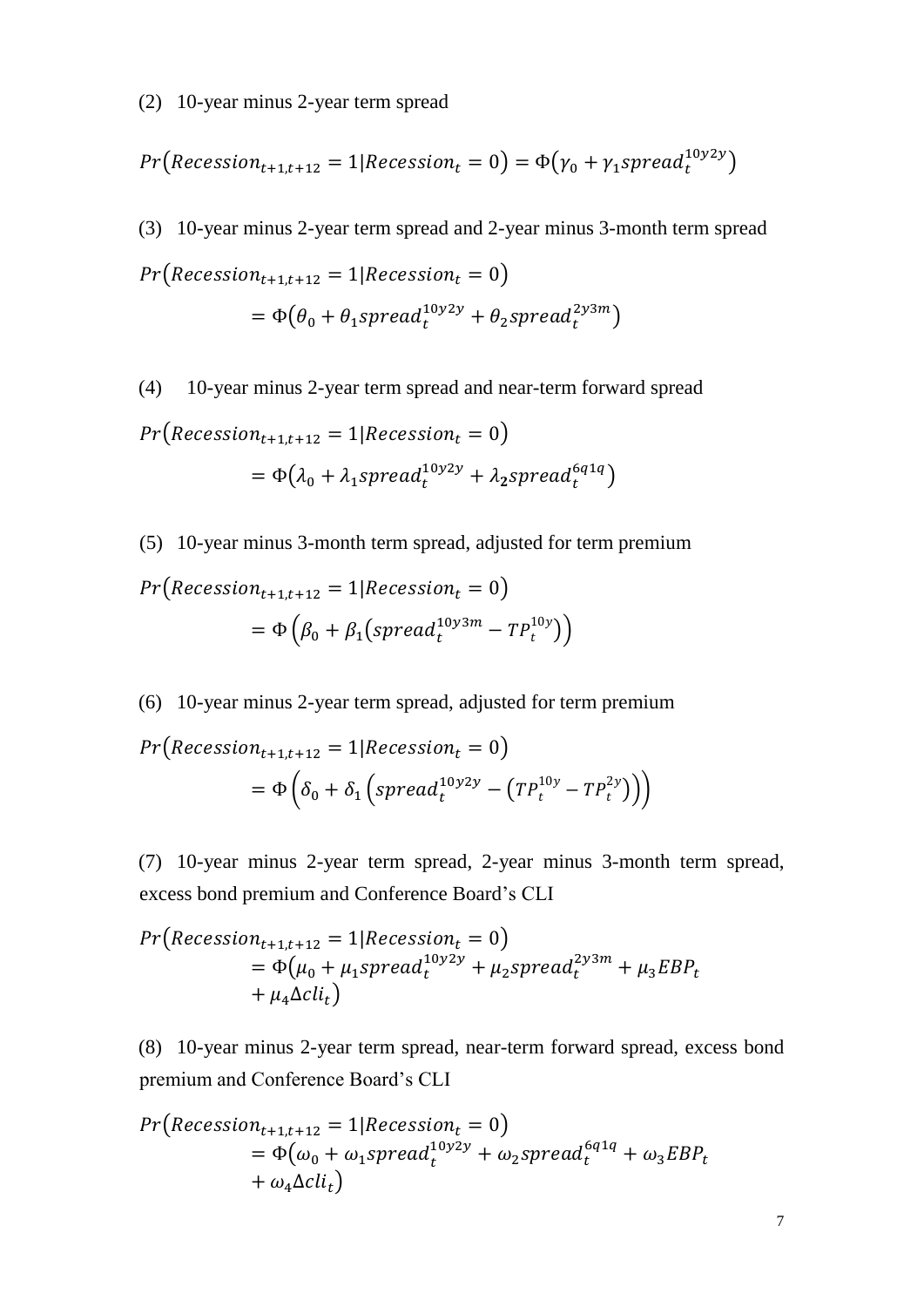(2) 10-year minus 2-year term spread

$$
Pr\big(Recession_{t+1,t+12}=1|Recession_t=0\big)=\Phi\big(\gamma_0+\gamma_1 spread_t^{10y2y}\big)
$$

(3) 10-year minus 2-year term spread and 2-year minus 3-month term spread  $Pr(Recession_{t+1,t+12} = 1| Recession_t = 0)$  $= \Phi(\theta_0 + \theta_1 spread_t^{10y2y} + \theta_2 spread_t^{2y3m})$ 

(4) 10-year minus 2-year term spread and near-term forward spread  $Pr(Recession_{t+1,t+12} = 1| Recession_t = 0)$  $= \Phi(\lambda_0 + \lambda_1 spread_t^{10y2y} + \lambda_2 spread_t^{6q1q})$ 

(5) 10-year minus 3-month term spread, adjusted for term premium

$$
Pr(Recession_{t+1,t+12} = 1|Recession_t = 0)
$$
  
=  $\Phi\left(\beta_0 + \beta_1(spread_t^{10y3m} - TP_t^{10y})\right)$ 

(6) 10-year minus 2-year term spread, adjusted for term premium

$$
Pr\left(Recession_{t+1,t+12} = 1 | Recession_t = 0\right)
$$
  
=  $\Phi\left(\delta_0 + \delta_1 \left(spred_t^{10y2y} - \left(TP_t^{10y} - TP_t^{2y}\right)\right)\right)$ 

(7) 10-year minus 2-year term spread, 2-year minus 3-month term spread, excess bond premium and Conference Board's CLI

$$
Pr(Recession_{t+1,t+12} = 1|Recession_t = 0)
$$
  
=  $\Phi(\mu_0 + \mu_1 spread_t^{10y2y} + \mu_2 spread_t^{2y3m} + \mu_3 EBP_t$   
+  $\mu_4 \Delta cli_t$ )

(8) 10-year minus 2-year term spread, near-term forward spread, excess bond premium and Conference Board's CLI

$$
Pr(Recession_{t+1,t+12} = 1|Recession_t = 0)
$$
  
=  $\Phi(\omega_0 + \omega_1 spread_t^{10y2y} + \omega_2 spread_t^{6q1q} + \omega_3 EBP_t$   
+  $\omega_4 \Delta cli_t$ )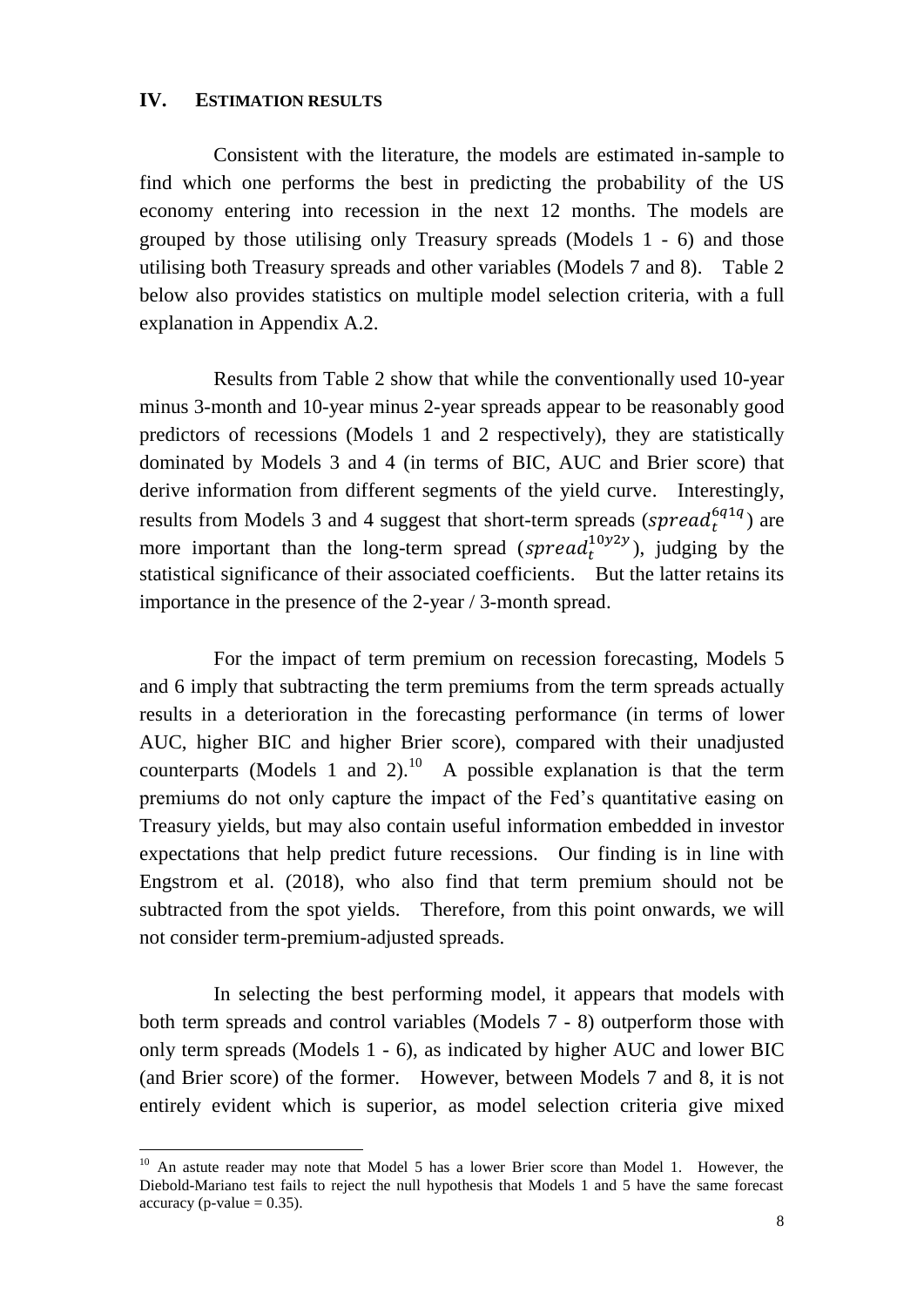### **IV. ESTIMATION RESULTS**

Consistent with the literature, the models are estimated in-sample to find which one performs the best in predicting the probability of the US economy entering into recession in the next 12 months. The models are grouped by those utilising only Treasury spreads (Models 1 - 6) and those utilising both Treasury spreads and other variables (Models 7 and 8). Table 2 below also provides statistics on multiple model selection criteria, with a full explanation in Appendix A.2.

Results from Table 2 show that while the conventionally used 10-year minus 3-month and 10-year minus 2-year spreads appear to be reasonably good predictors of recessions (Models 1 and 2 respectively), they are statistically dominated by Models 3 and 4 (in terms of BIC, AUC and Brier score) that derive information from different segments of the yield curve. Interestingly, results from Models 3 and 4 suggest that short-term spreads ( $spread_t^{6q1q})$  are more important than the long-term spread (spread $_t^{10y2y}$ ), judging by the statistical significance of their associated coefficients. But the latter retains its importance in the presence of the 2-year / 3-month spread.

For the impact of term premium on recession forecasting, Models 5 and 6 imply that subtracting the term premiums from the term spreads actually results in a deterioration in the forecasting performance (in terms of lower AUC, higher BIC and higher Brier score), compared with their unadjusted counterparts (Models 1 and 2).<sup>10</sup> A possible explanation is that the term premiums do not only capture the impact of the Fed's quantitative easing on Treasury yields, but may also contain useful information embedded in investor expectations that help predict future recessions. Our finding is in line with Engstrom et al. (2018), who also find that term premium should not be subtracted from the spot yields. Therefore, from this point onwards, we will not consider term-premium-adjusted spreads.

In selecting the best performing model, it appears that models with both term spreads and control variables (Models 7 - 8) outperform those with only term spreads (Models 1 - 6), as indicated by higher AUC and lower BIC (and Brier score) of the former. However, between Models 7 and 8, it is not entirely evident which is superior, as model selection criteria give mixed

<sup>&</sup>lt;sup>10</sup> An astute reader may note that Model 5 has a lower Brier score than Model 1. However, the Diebold-Mariano test fails to reject the null hypothesis that Models 1 and 5 have the same forecast accuracy (p-value  $= 0.35$ ).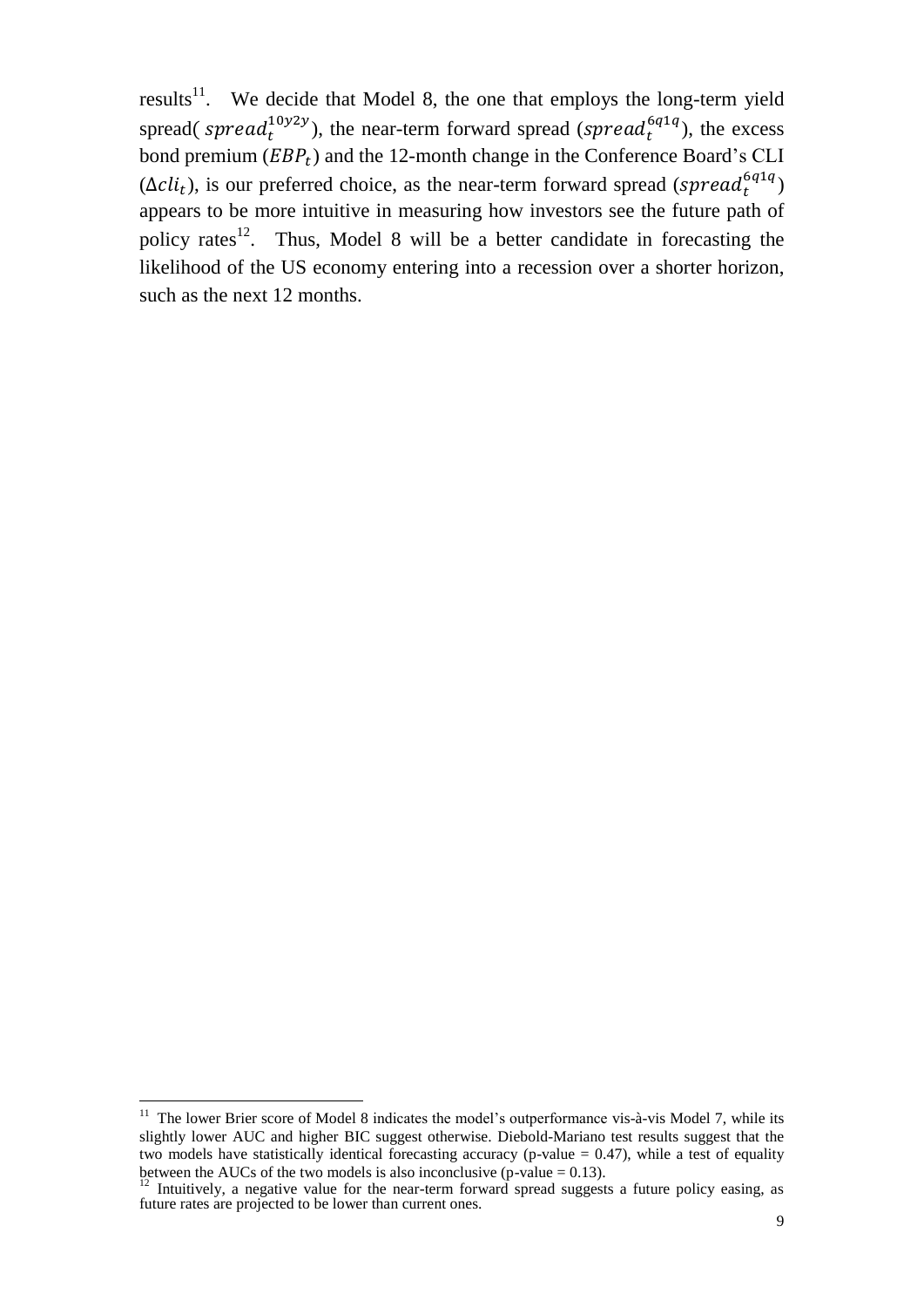results<sup>11</sup>. We decide that Model 8, the one that employs the long-term yield spread( spread $1^{(10y2y)}$ ), the near-term forward spread (spread $6^{(q1q)}$ ), the excess bond premium  $(EBP_t)$  and the 12-month change in the Conference Board's CLI  $(\Delta cli_t)$ , is our preferred choice, as the near-term forward spread (spread<sub>t</sub><sup>6q1q</sup>) appears to be more intuitive in measuring how investors see the future path of policy rates<sup>12</sup>. Thus, Model 8 will be a better candidate in forecasting the likelihood of the US economy entering into a recession over a shorter horizon, such as the next 12 months.

 $11$  The lower Brier score of Model 8 indicates the model's outperformance vis-à-vis Model 7, while its slightly lower AUC and higher BIC suggest otherwise. Diebold-Mariano test results suggest that the two models have statistically identical forecasting accuracy (p-value  $= 0.47$ ), while a test of equality between the AUCs of the two models is also inconclusive (p-value  $= 0.13$ ).

<sup>&</sup>lt;sup>12</sup> Intuitively, a negative value for the near-term forward spread suggests a future policy easing, as future rates are projected to be lower than current ones.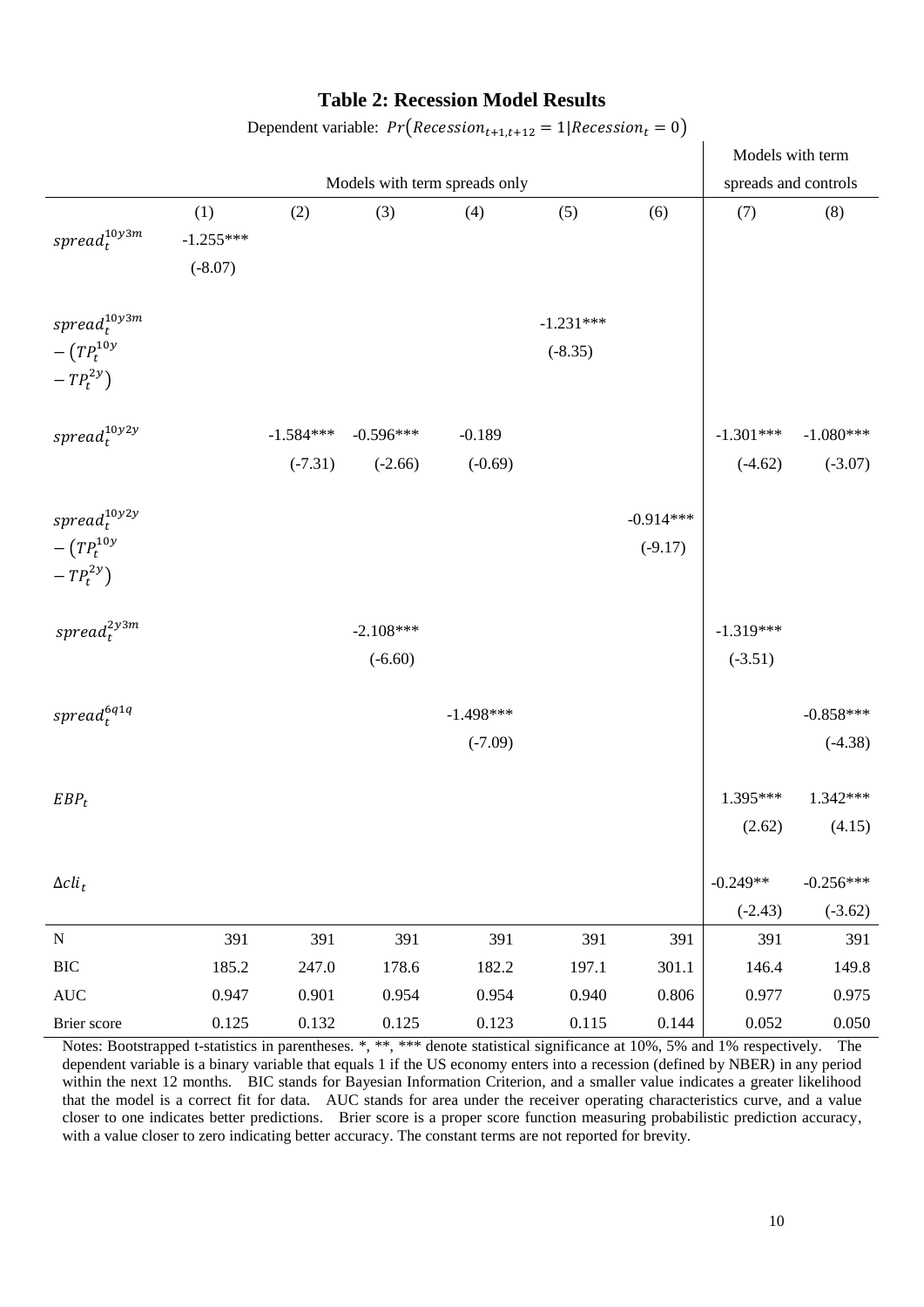#### **Table 2: Recession Model Results**

|                                                       |                                 |                               |                                                |                          |                          |                          | Models with term         |                                      |
|-------------------------------------------------------|---------------------------------|-------------------------------|------------------------------------------------|--------------------------|--------------------------|--------------------------|--------------------------|--------------------------------------|
|                                                       |                                 | Models with term spreads only |                                                |                          |                          |                          | spreads and controls     |                                      |
| $spread^{10y3m}_{t}$                                  | (1)<br>$-1.255***$<br>$(-8.07)$ | (2)                           | (3)                                            | (4)                      | (5)                      | (6)                      | (7)                      | (8)                                  |
| $spread^{10y3m}_t$<br>$-(TP_t^{10y})$<br>$-TP_t^{2y}$ |                                 |                               |                                                |                          | $-1.231***$<br>$(-8.35)$ |                          |                          |                                      |
| $spread^{10y2y}_t$                                    |                                 |                               | $-1.584***$ $-0.596***$<br>$(-7.31)$ $(-2.66)$ | $-0.189$<br>$(-0.69)$    |                          |                          | $(-4.62)$                | $-1.301***$ $-1.080***$<br>$(-3.07)$ |
| $spread^{10y2y}_t$<br>$-(TP_t^{10y})$<br>$-TP_t^{2y}$ |                                 |                               |                                                |                          |                          | $-0.914***$<br>$(-9.17)$ |                          |                                      |
| $spread^{2y3m}_{t}$                                   |                                 |                               | $-2.108***$<br>$(-6.60)$                       |                          |                          |                          | $-1.319***$<br>$(-3.51)$ |                                      |
| $spread_{t}^{\epsilon_{q1q}}$                         |                                 |                               |                                                | $-1.498***$<br>$(-7.09)$ |                          |                          |                          | $-0.858***$<br>$(-4.38)$             |
| $EBP_t$                                               |                                 |                               |                                                |                          |                          |                          | 1.395***<br>(2.62)       | 1.342***<br>(4.15)                   |
| $\Delta cli_t$                                        |                                 |                               |                                                |                          |                          |                          | $-0.249**$<br>$(-2.43)$  | $-0.256***$<br>$(-3.62)$             |
| ${\bf N}$                                             | 391                             | 391                           | 391                                            | 391                      | 391                      | 391                      | 391                      | 391                                  |
| $\rm BIC$                                             | 185.2                           | 247.0                         | 178.6                                          | 182.2                    | 197.1                    | 301.1                    | 146.4                    | 149.8                                |
| $\mathbf{AUC}$                                        | 0.947                           | 0.901                         | 0.954                                          | 0.954                    | 0.940                    | 0.806                    | 0.977                    | 0.975                                |
| Brier score                                           | 0.125                           | 0.132                         | 0.125                                          | 0.123                    | 0.115                    | 0.144                    | 0.052                    | 0.050                                |

Dependent variable:  $Pr(Recession_{t+1,t+12} = 1| Recession_t = 0)$ 

Notes: Bootstrapped t-statistics in parentheses. \*, \*\*, \*\*\* denote statistical significance at 10%, 5% and 1% respectively. The dependent variable is a binary variable that equals 1 if the US economy enters into a recession (defined by NBER) in any period within the next 12 months. BIC stands for Bayesian Information Criterion, and a smaller value indicates a greater likelihood that the model is a correct fit for data. AUC stands for area under the receiver operating characteristics curve, and a value closer to one indicates better predictions. Brier score is a proper score function measuring probabilistic prediction accuracy, with a value closer to zero indicating better accuracy. The constant terms are not reported for brevity.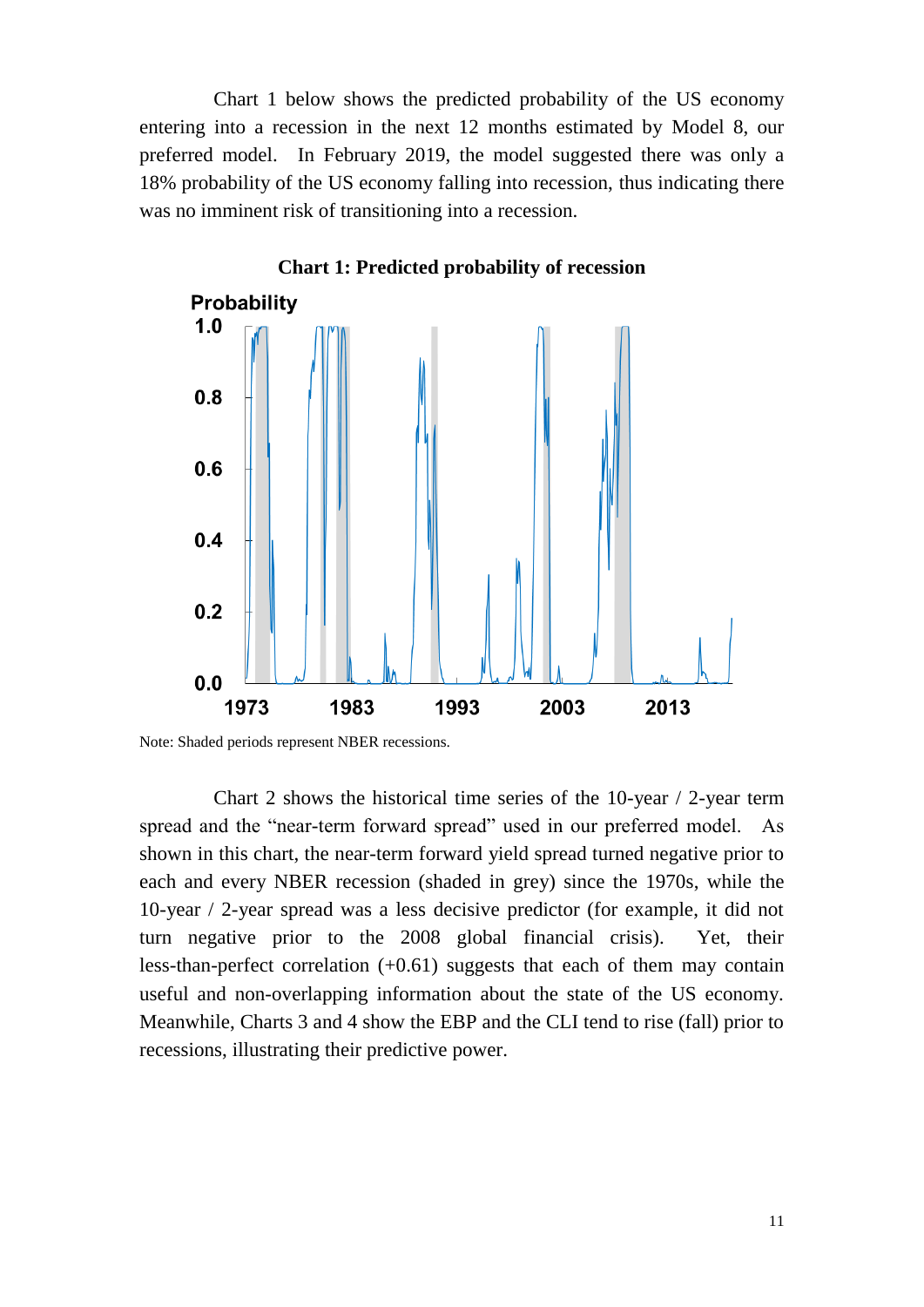Chart 1 below shows the predicted probability of the US economy entering into a recession in the next 12 months estimated by Model 8, our preferred model. In February 2019, the model suggested there was only a 18% probability of the US economy falling into recession, thus indicating there was no imminent risk of transitioning into a recession.



**Chart 1: Predicted probability of recession**

Chart 2 shows the historical time series of the 10-year / 2-year term spread and the "near-term forward spread" used in our preferred model. As shown in this chart, the near-term forward yield spread turned negative prior to each and every NBER recession (shaded in grey) since the 1970s, while the 10-year / 2-year spread was a less decisive predictor (for example, it did not turn negative prior to the 2008 global financial crisis). Yet, their less-than-perfect correlation (+0.61) suggests that each of them may contain useful and non-overlapping information about the state of the US economy. Meanwhile, Charts 3 and 4 show the EBP and the CLI tend to rise (fall) prior to recessions, illustrating their predictive power.

Note: Shaded periods represent NBER recessions.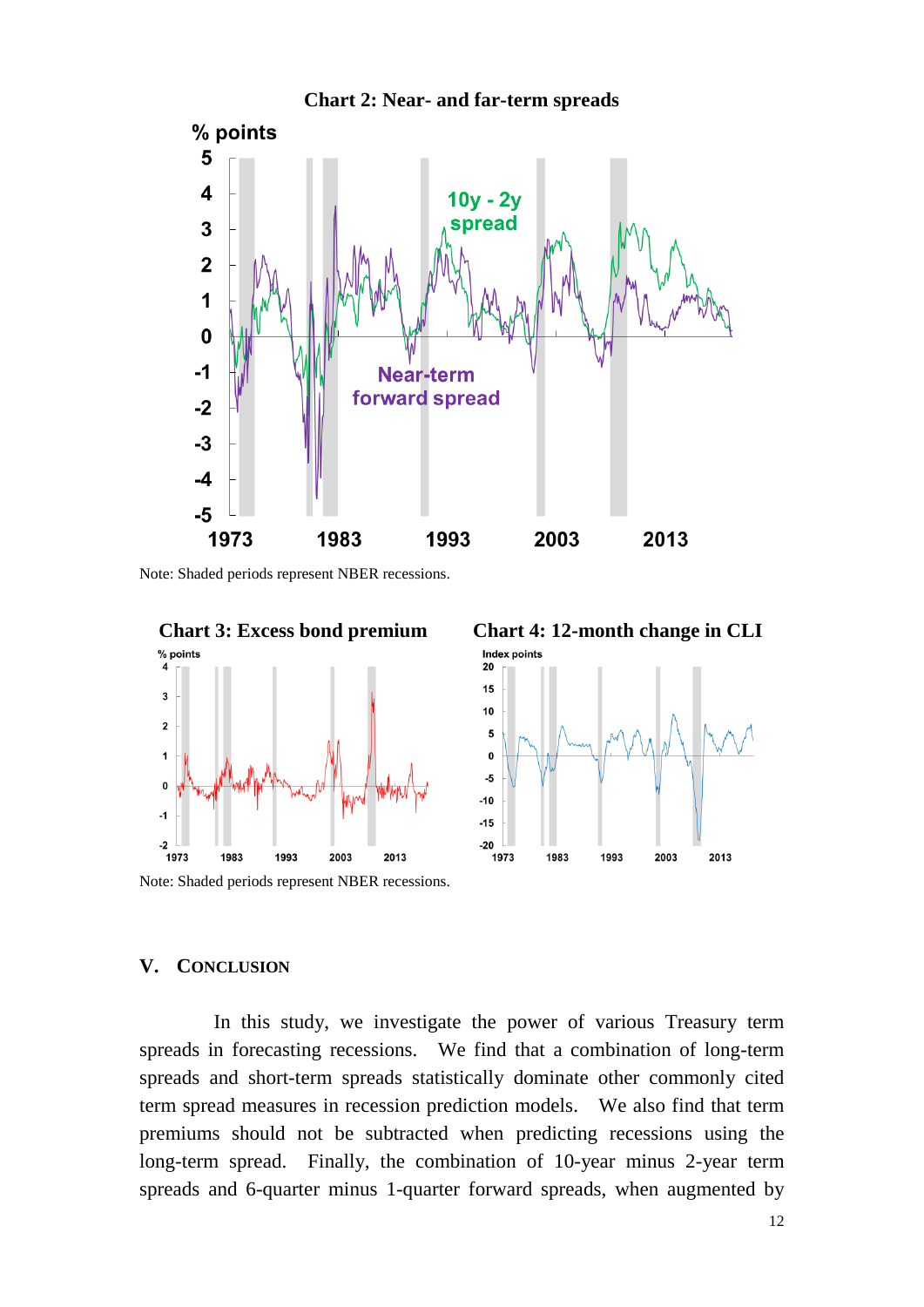

**Chart 2: Near- and far-term spreads**

Note: Shaded periods represent NBER recessions.



Index points 20  $15$  $10$  $\overline{\mathbf{5}}$  $\mathbf 0$ -5  $-10$  $-15$ 

1993

2003

2013

#### **V. CONCLUSION**

In this study, we investigate the power of various Treasury term spreads in forecasting recessions. We find that a combination of long-term spreads and short-term spreads statistically dominate other commonly cited term spread measures in recession prediction models. We also find that term premiums should not be subtracted when predicting recessions using the long-term spread. Finally, the combination of 10-year minus 2-year term spreads and 6-quarter minus 1-quarter forward spreads, when augmented by

 $-20$ 

1973

1983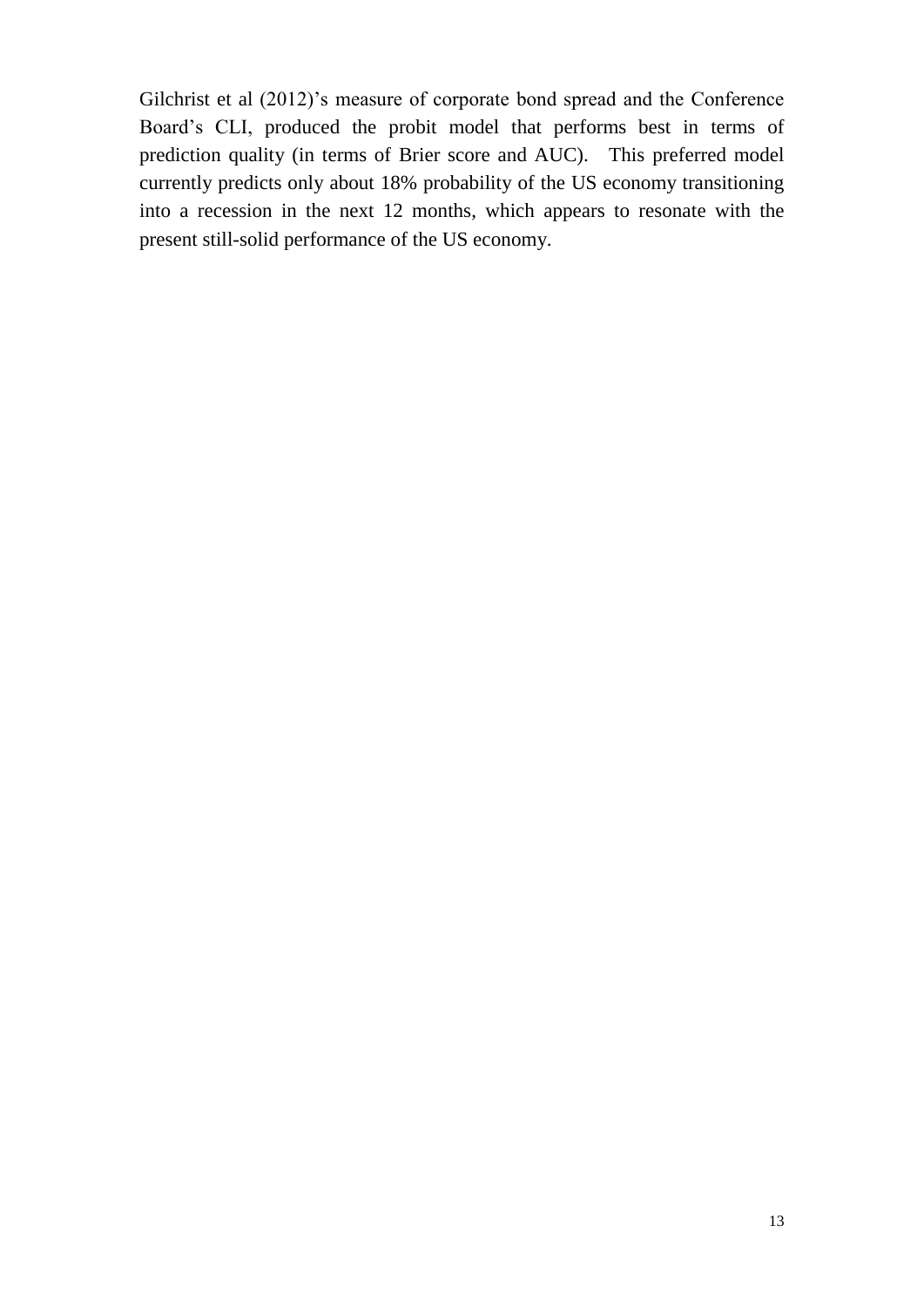Gilchrist et al (2012)'s measure of corporate bond spread and the Conference Board's CLI, produced the probit model that performs best in terms of prediction quality (in terms of Brier score and AUC). This preferred model currently predicts only about 18% probability of the US economy transitioning into a recession in the next 12 months, which appears to resonate with the present still-solid performance of the US economy.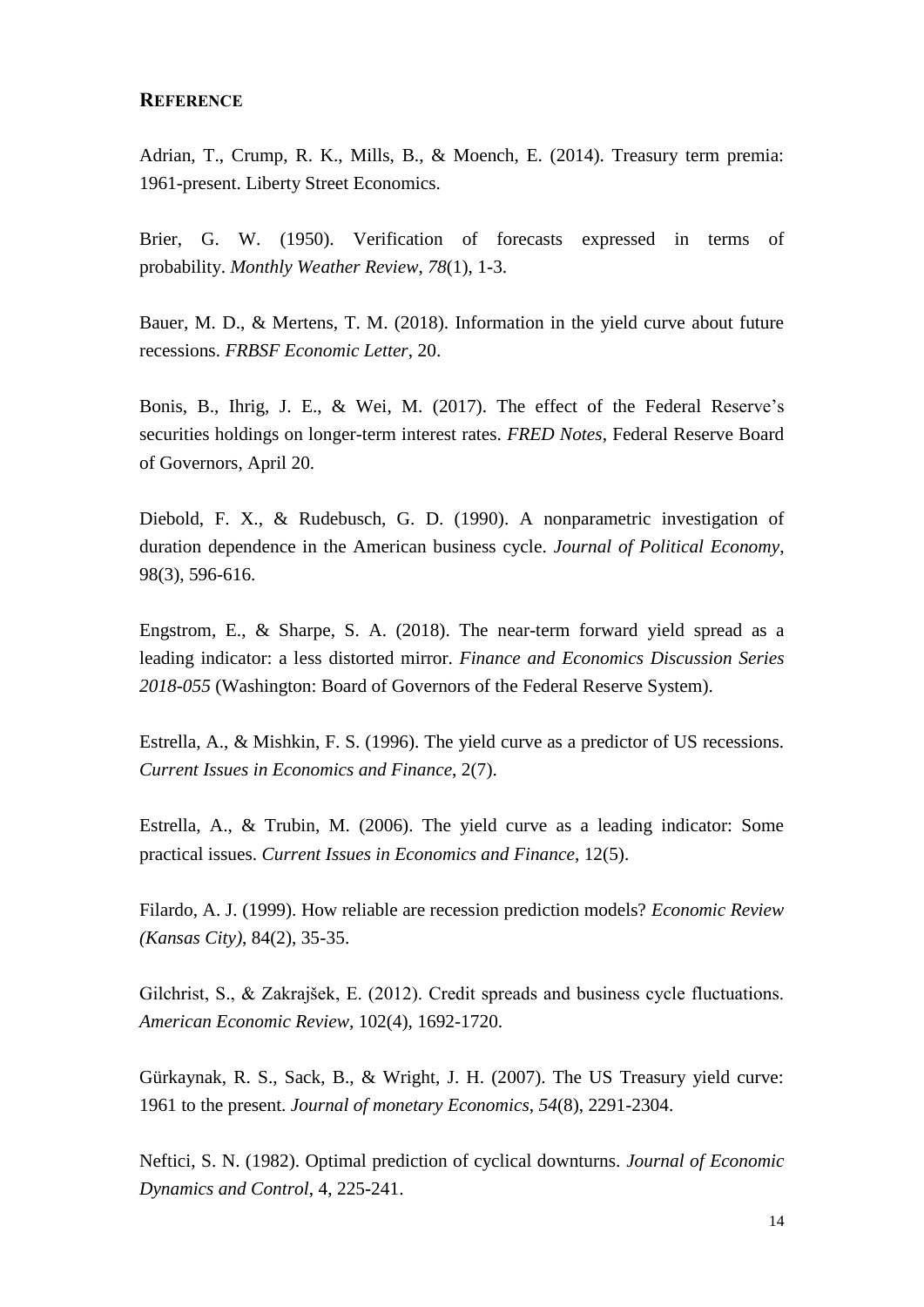#### **REFERENCE**

Adrian, T., Crump, R. K., Mills, B., & Moench, E. (2014). Treasury term premia: 1961-present. Liberty Street Economics.

Brier, G. W. (1950). Verification of forecasts expressed in terms of probability. *Monthly Weather Review*, *78*(1), 1-3.

Bauer, M. D., & Mertens, T. M. (2018). Information in the yield curve about future recessions. *FRBSF Economic Letter*, 20.

Bonis, B., Ihrig, J. E., & Wei, M. (2017). The effect of the Federal Reserve's securities holdings on longer-term interest rates. *FRED Notes*, Federal Reserve Board of Governors, April 20.

Diebold, F. X., & Rudebusch, G. D. (1990). A nonparametric investigation of duration dependence in the American business cycle. *Journal of Political Economy*, 98(3), 596-616.

Engstrom, E., & Sharpe, S. A. (2018). The near-term forward yield spread as a leading indicator: a less distorted mirror. *Finance and Economics Discussion Series 2018-055* (Washington: Board of Governors of the Federal Reserve System).

Estrella, A., & Mishkin, F. S. (1996). The yield curve as a predictor of US recessions. *Current Issues in Economics and Finance*, 2(7).

Estrella, A., & Trubin, M. (2006). The yield curve as a leading indicator: Some practical issues. *Current Issues in Economics and Finance*, 12(5).

Filardo, A. J. (1999). How reliable are recession prediction models? *Economic Review (Kansas City)*, 84(2), 35-35.

Gilchrist, S., & Zakrajšek, E. (2012). Credit spreads and business cycle fluctuations. *American Economic Review*, 102(4), 1692-1720.

Gürkaynak, R. S., Sack, B., & Wright, J. H. (2007). The US Treasury yield curve: 1961 to the present. *Journal of monetary Economics*, *54*(8), 2291-2304.

Neftici, S. N. (1982). Optimal prediction of cyclical downturns. *Journal of Economic Dynamics and Control*, 4, 225-241.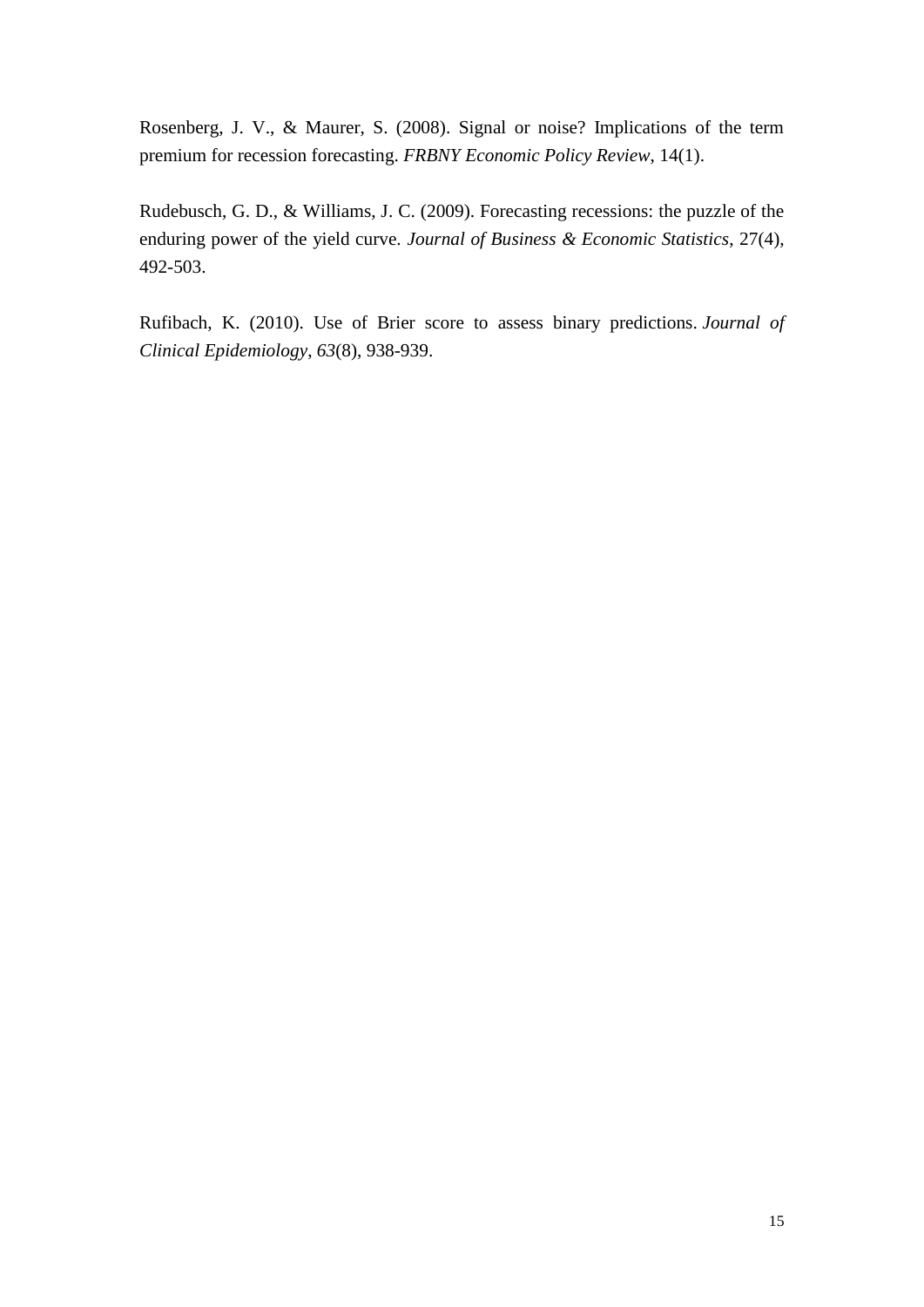Rosenberg, J. V., & Maurer, S. (2008). Signal or noise? Implications of the term premium for recession forecasting. *FRBNY Economic Policy Review*, 14(1).

Rudebusch, G. D., & Williams, J. C. (2009). Forecasting recessions: the puzzle of the enduring power of the yield curve. *Journal of Business & Economic Statistics*, 27(4), 492-503.

Rufibach, K. (2010). Use of Brier score to assess binary predictions. *Journal of Clinical Epidemiology*, *63*(8), 938-939.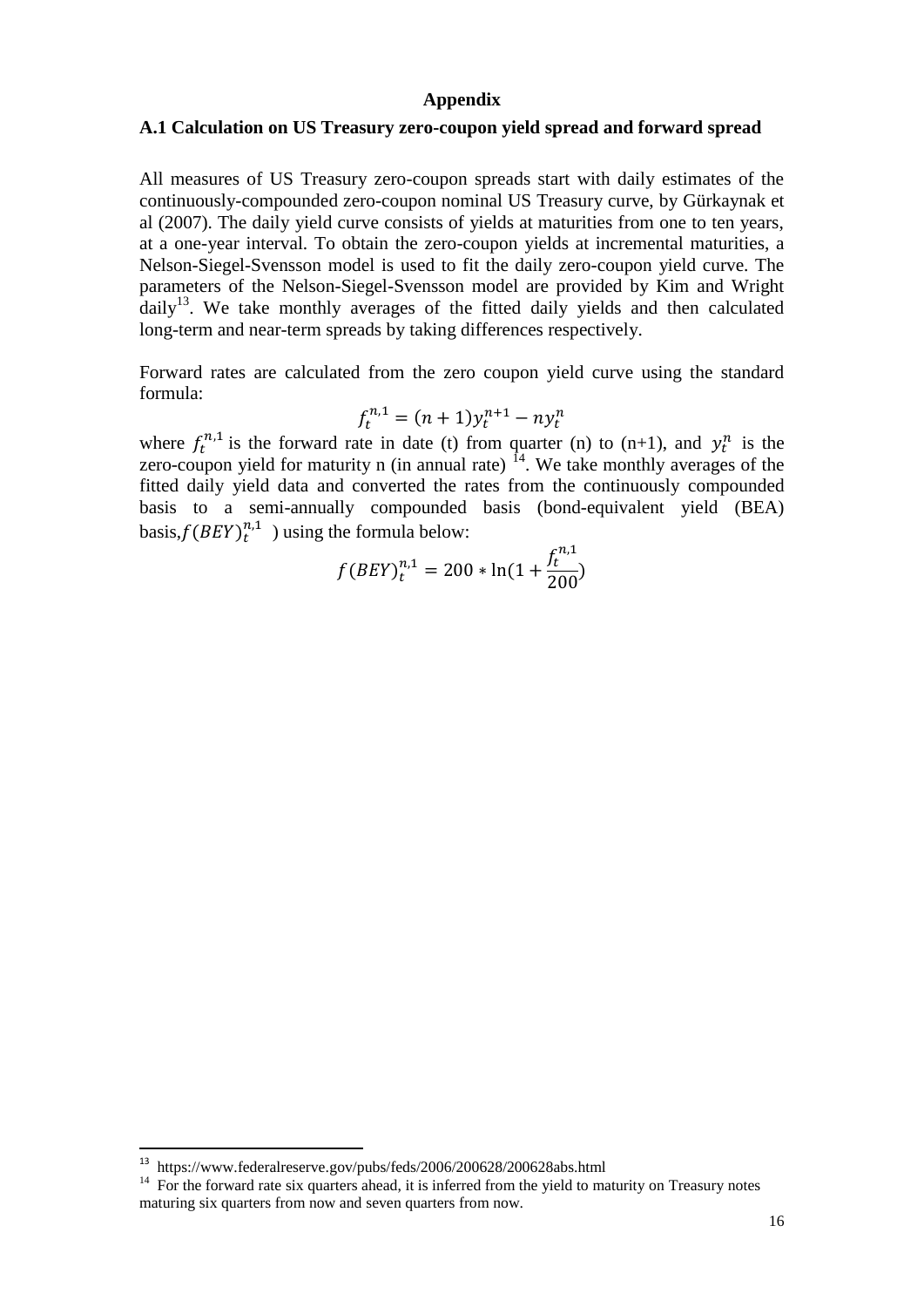#### **Appendix**

#### **A.1 Calculation on US Treasury zero-coupon yield spread and forward spread**

All measures of US Treasury zero-coupon spreads start with daily estimates of the continuously-compounded zero-coupon nominal US Treasury curve, by Gürkaynak et al (2007). The daily yield curve consists of yields at maturities from one to ten years, at a one-year interval. To obtain the zero-coupon yields at incremental maturities, a Nelson-Siegel-Svensson model is used to fit the daily zero-coupon yield curve. The parameters of the Nelson-Siegel-Svensson model are provided by Kim and Wright  $d$ aily<sup>13</sup>. We take monthly averages of the fitted daily yields and then calculated long-term and near-term spreads by taking differences respectively.

Forward rates are calculated from the zero coupon yield curve using the standard formula:

$$
f_t^{n,1} = (n+1)y_t^{n+1} - ny_t^n
$$

where  $f_t^{n,1}$  is the forward rate in date (t) from quarter (n) to (n+1), and  $y_t^n$  is the zero-coupon yield for maturity n (in annual rate)  $^{14}$ . We take monthly averages of the fitted daily yield data and converted the rates from the continuously compounded basis to a semi-annually compounded basis (bond-equivalent yield (BEA) basis, $f(BEY)^{n,1}$ ) using the formula below:

$$
f(B EY)^{n,1}_{t}=200*\ln(1+\frac{f^{n,1}_{t}}{200})
$$

<sup>13</sup> <https://www.federalreserve.gov/pubs/feds/2006/200628/200628abs.html>

<sup>&</sup>lt;sup>14</sup> For the forward rate six quarters ahead, it is inferred from the yield to maturity on Treasury notes maturing six quarters from now and seven quarters from now.